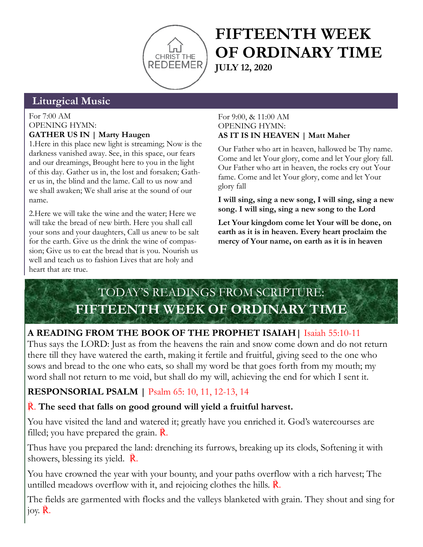

# **FIFTEENTH WEEK OF ORDINARY TIME JULY 12, 2020**

# **Liturgical Music**

## For 7:00 AM OPENING HYMN: **GATHER US IN | Marty Haugen**

1.Here in this place new light is streaming; Now is the darkness vanished away. See, in this space, our fears and our dreamings, Brought here to you in the light of this day. Gather us in, the lost and forsaken; Gather us in, the blind and the lame. Call to us now and we shall awaken; We shall arise at the sound of our name.

2.Here we will take the wine and the water; Here we will take the bread of new birth. Here you shall call your sons and your daughters, Call us anew to be salt for the earth. Give us the drink the wine of compassion; Give us to eat the bread that is you. Nourish us well and teach us to fashion Lives that are holy and heart that are true.

## For 9:00, & 11:00 AM OPENING HYMN: **AS IT IS IN HEAVEN | Matt Maher**

Our Father who art in heaven, hallowed be Thy name. Come and let Your glory, come and let Your glory fall. Our Father who art in heaven, the rocks cry out Your fame. Come and let Your glory, come and let Your glory fall

**I will sing, sing a new song, I will sing, sing a new song. I will sing, sing a new song to the Lord**

**Let Your kingdom come let Your will be done, on earth as it is in heaven. Every heart proclaim the mercy of Your name, on earth as it is in heaven**

# TODAY'S READINGS FROM SCRIPTURE: **FIFTEENTH WEEK OF ORDINARY TIME**

## **A READING FROM THE BOOK OF THE PROPHET ISAIAH|** Isaiah 55:10-11

Thus says the LORD: Just as from the heavens the rain and snow come down and do not return there till they have watered the earth, making it fertile and fruitful, giving seed to the one who sows and bread to the one who eats, so shall my word be that goes forth from my mouth; my word shall not return to me void, but shall do my will, achieving the end for which I sent it.

## **RESPONSORIAL PSALM |** Psalm 65: 10, 11, 12-13, 14

## ℟. **The seed that falls on good ground will yield a fruitful harvest.**

You have visited the land and watered it; greatly have you enriched it. God's watercourses are filled; you have prepared the grain.  $\mathbf{\vec{R}}$ .

Thus have you prepared the land: drenching its furrows, breaking up its clods, Softening it with showers, blessing its yield. **R**.

You have crowned the year with your bounty, and your paths overflow with a rich harvest; The untilled meadows overflow with it, and rejoicing clothes the hills.  $\vec{\mathbf{R}}$ .

The fields are garmented with flocks and the valleys blanketed with grain. They shout and sing for joy. ℟.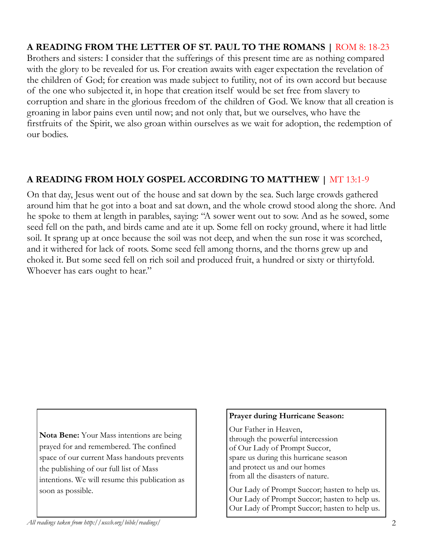## **A READING FROM THE LETTER OF ST. PAUL TO THE ROMANS |** ROM 8: 18-23

Brothers and sisters: I consider that the sufferings of this present time are as nothing compared with the glory to be revealed for us. For creation awaits with eager expectation the revelation of the children of God; for creation was made subject to futility, not of its own accord but because of the one who subjected it, in hope that creation itself would be set free from slavery to corruption and share in the glorious freedom of the children of God. We know that all creation is groaning in labor pains even until now; and not only that, but we ourselves, who have the firstfruits of the Spirit, we also groan within ourselves as we wait for adoption, the redemption of our bodies.

## **A READING FROM HOLY GOSPEL ACCORDING TO MATTHEW |** MT 13:1-9

On that day, Jesus went out of the house and sat down by the sea. Such large crowds gathered around him that he got into a boat and sat down, and the whole crowd stood along the shore. And he spoke to them at length in parables, saying: "A sower went out to sow. And as he sowed, some seed fell on the path, and birds came and ate it up. Some fell on rocky ground, where it had little soil. It sprang up at once because the soil was not deep, and when the sun rose it was scorched, and it withered for lack of roots. Some seed fell among thorns, and the thorns grew up and choked it. But some seed fell on rich soil and produced fruit, a hundred or sixty or thirtyfold. Whoever has ears ought to hear."

**Nota Bene:** Your Mass intentions are being prayed for and remembered. The confined space of our current Mass handouts prevents the publishing of our full list of Mass intentions. We will resume this publication as soon as possible.

### **Prayer during Hurricane Season:**

Our Father in Heaven, through the powerful intercession of Our Lady of Prompt Succor, spare us during this hurricane season and protect us and our homes from all the disasters of nature.

Our Lady of Prompt Succor; hasten to help us. Our Lady of Prompt Succor; hasten to help us. Our Lady of Prompt Succor; hasten to help us.

*All readings taken from http://usccb.org/bible/readings/* 2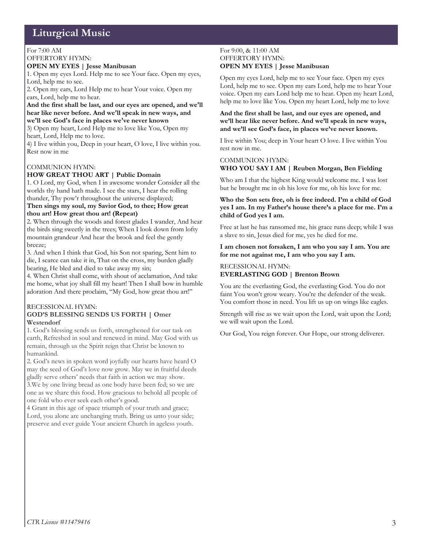# **Liturgical Music**

## For 7:00 AM

### OFFERTORY HYMN:

#### **OPEN MY EYES | Jesse Manibusan**

1. Open my eyes Lord. Help me to see Your face. Open my eyes, Lord, help me to see.

2. Open my ears, Lord Help me to hear Your voice. Open my ears, Lord, help me to hear.

**And the first shall be last, and our eyes are opened, and we'll hear like never before. And we'll speak in new ways, and we'll see God's face in places we've never known**

3) Open my heart, Lord Help me to love like You, Open my heart, Lord, Help me to love.

4) I live within you, Deep in your heart, O love, I live within you. Rest now in me

#### COMMUNION HYMN:

#### **HOW GREAT THOU ART | Public Domain**

1. O Lord, my God, when I in awesome wonder Consider all the worlds thy hand hath made. I see the stars, I hear the rolling thunder, Thy pow'r throughout the universe displayed; **Then sings my soul, my Savior God, to thee; How great** 

### **thou art! How great thou art! (Repeat)**

2. When through the woods and forest glades I wander, And hear the birds sing sweetly in the trees; When I look down from lofty mountain grandeur And hear the brook and feel the gently breeze;

3. And when I think that God, his Son not sparing, Sent him to die, I scarce can take it in, That on the cross, my burden gladly bearing, He bled and died to take away my sin;

4. When Christ shall come, with shout of acclamation, And take me home, what joy shall fill my heart! Then I shall bow in humble adoration And there proclaim, "My God, how great thou art!"

#### RECESSIONAL HYMN: **GOD'S BLESSING SENDS US FORTH | Omer Westendorf**

1. God's blessing sends us forth, strengthened for our task on earth, Refreshed in soul and renewed in mind. May God with us remain, through us the Spirit reign that Christ be known to humankind.

2. God's news in spoken word joyfully our hearts have heard O may the seed of God's love now grow. May we in fruitful deeds gladly serve others' needs that faith in action we may show. 3.We by one living bread as one body have been fed; so we are one as we share this food. How gracious to behold all people of one fold who ever seek each other's good.

4 Grant in this age of space triumph of your truth and grace; Lord, you alone are unchanging truth. Bring us unto your side; preserve and ever guide Your ancient Church in ageless youth.

#### For 9:00, & 11:00 AM OFFERTORY HYMN: **OPEN MY EYES | Jesse Manibusan**

Open my eyes Lord, help me to see Your face. Open my eyes Lord, help me to see. Open my ears Lord, help me to hear Your voice. Open my ears Lord help me to hear. Open my heart Lord, help me to love like You. Open my heart Lord, help me to love

#### **And the first shall be last, and our eyes are opened, and we'll hear like never before. And we'll speak in new ways, and we'll see God's face, in places we've never known.**

I live within You; deep in Your heart O love. I live within You rest now in me.

#### COMMUNION HYMN: **WHO YOU SAY I AM | Reuben Morgan, Ben Fielding**

Who am I that the highest King would welcome me. I was lost but he brought me in oh his love for me, oh his love for me.

#### **Who the Son sets free, oh is free indeed. I'm a child of God yes I am. In my Father's house there's a place for me. I'm a child of God yes I am.**

Free at last he has ransomed me, his grace runs deep; while I was a slave to sin, Jesus died for me, yes he died for me.

#### **I am chosen not forsaken, I am who you say I am. You are for me not against me, I am who you say I am.**

#### RECESSIONAL HYMN: **EVERLASTING GOD | Brenton Brown**

You are the everlasting God, the everlasting God. You do not faint You won't grow weary. You're the defender of the weak. You comfort those in need. You lift us up on wings like eagles.

Strength will rise as we wait upon the Lord, wait upon the Lord; we will wait upon the Lord.

Our God, You reign forever. Our Hope, our strong deliverer.